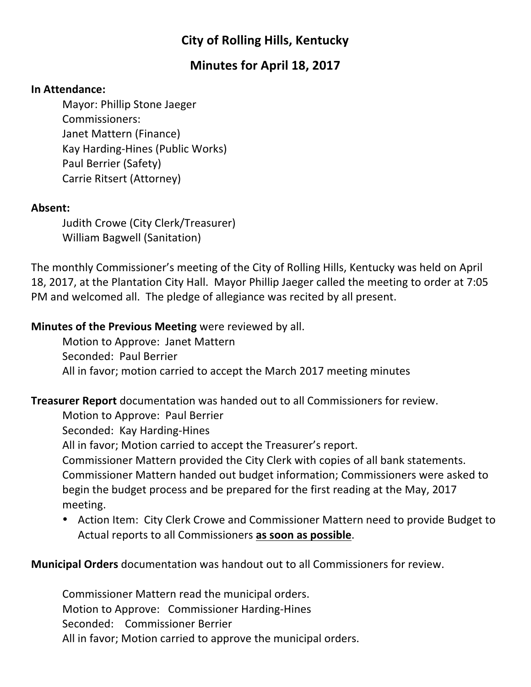# **City of Rolling Hills, Kentucky**

# **Minutes for April 18, 2017**

#### **In Attendance:**

Mayor: Phillip Stone Jaeger Commissioners: Janet Mattern (Finance) Kay Harding-Hines (Public Works) Paul Berrier (Safety) Carrie Ritsert (Attorney)

#### **Absent:**

Judith Crowe (City Clerk/Treasurer) William Bagwell (Sanitation)

The monthly Commissioner's meeting of the City of Rolling Hills, Kentucky was held on April 18, 2017, at the Plantation City Hall. Mayor Phillip Jaeger called the meeting to order at 7:05 PM and welcomed all. The pledge of allegiance was recited by all present.

### **Minutes of the Previous Meeting** were reviewed by all.

Motion to Approve: Janet Mattern Seconded: Paul Berrier All in favor; motion carried to accept the March 2017 meeting minutes

**Treasurer Report** documentation was handed out to all Commissioners for review.

Motion to Approve: Paul Berrier

Seconded: Kay Harding-Hines

All in favor; Motion carried to accept the Treasurer's report.

Commissioner Mattern provided the City Clerk with copies of all bank statements. Commissioner Mattern handed out budget information; Commissioners were asked to begin the budget process and be prepared for the first reading at the May, 2017 meeting. 

• Action Item: City Clerk Crowe and Commissioner Mattern need to provide Budget to Actual reports to all Commissioners as soon as possible.

## **Municipal Orders** documentation was handout out to all Commissioners for review.

Commissioner Mattern read the municipal orders. Motion to Approve: Commissioner Harding-Hines Seconded: Commissioner Berrier All in favor; Motion carried to approve the municipal orders.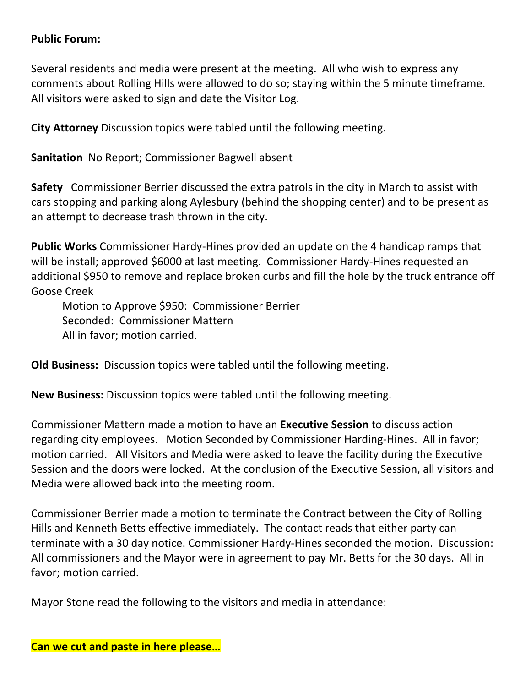#### **Public Forum:**

Several residents and media were present at the meeting. All who wish to express any comments about Rolling Hills were allowed to do so; staying within the 5 minute timeframe. All visitors were asked to sign and date the Visitor Log.

**City Attorney** Discussion topics were tabled until the following meeting.

**Sanitation** No Report; Commissioner Bagwell absent

**Safety** Commissioner Berrier discussed the extra patrols in the city in March to assist with cars stopping and parking along Aylesbury (behind the shopping center) and to be present as an attempt to decrease trash thrown in the city.

**Public Works** Commissioner Hardy-Hines provided an update on the 4 handicap ramps that will be install; approved \$6000 at last meeting. Commissioner Hardy-Hines requested an additional \$950 to remove and replace broken curbs and fill the hole by the truck entrance off Goose Creek

Motion to Approve \$950: Commissioner Berrier Seconded: Commissioner Mattern All in favor; motion carried.

**Old Business:** Discussion topics were tabled until the following meeting.

**New Business:** Discussion topics were tabled until the following meeting.

Commissioner Mattern made a motion to have an **Executive Session** to discuss action regarding city employees. Motion Seconded by Commissioner Harding-Hines. All in favor; motion carried. All Visitors and Media were asked to leave the facility during the Executive Session and the doors were locked. At the conclusion of the Executive Session, all visitors and Media were allowed back into the meeting room.

Commissioner Berrier made a motion to terminate the Contract between the City of Rolling Hills and Kenneth Betts effective immediately. The contact reads that either party can terminate with a 30 day notice. Commissioner Hardy-Hines seconded the motion. Discussion: All commissioners and the Mayor were in agreement to pay Mr. Betts for the 30 days. All in favor; motion carried.

Mayor Stone read the following to the visitors and media in attendance: